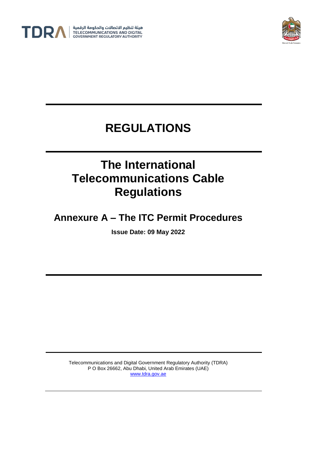



## **REGULATIONS**

# **The International Telecommunications Cable Regulations**

**Annexure A – The ITC Permit Procedures**

**Issue Date: 09 May 2022**

Telecommunications and Digital Government Regulatory Authority (TDRA) P O Box 26662, Abu Dhabi, United Arab Emirates (UAE) [www.tdra.gov.ae](http://www.tdra.gov.ae/)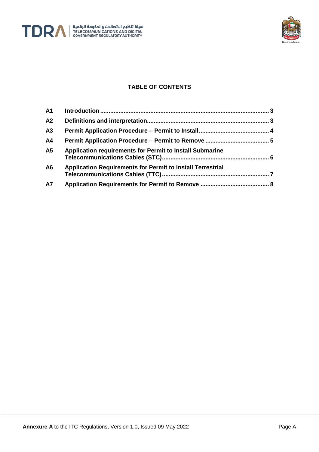



## **TABLE OF CONTENTS**

| A1             |                                                                   |
|----------------|-------------------------------------------------------------------|
| A2             |                                                                   |
| A3             |                                                                   |
| A4             |                                                                   |
| A5             | Application requirements for Permit to Install Submarine          |
| A <sub>6</sub> | <b>Application Requirements for Permit to Install Terrestrial</b> |
| <b>A7</b>      |                                                                   |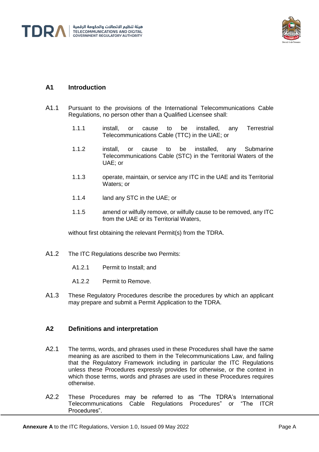



## **A1 Introduction**

- A1.1 Pursuant to the provisions of the International Telecommunications Cable Regulations, no person other than a Qualified Licensee shall:
	- 1.1.1 install, or cause to be installed, any Terrestrial Telecommunications Cable (TTC) in the UAE; or
	- 1.1.2 install, or cause to be installed, any Submarine Telecommunications Cable (STC) in the Territorial Waters of the UAE; or
	- 1.1.3 operate, maintain, or service any ITC in the UAE and its Territorial Waters; or
	- 1.1.4 land any STC in the UAE; or
	- 1.1.5 amend or wilfully remove, or wilfully cause to be removed, any ITC from the UAE or its Territorial Waters,

without first obtaining the relevant Permit(s) from the TDRA.

- A1.2 The ITC Regulations describe two Permits:
	- A1.2.1 Permit to Install; and
	- A1.2.2 Permit to Remove.
- A1.3 These Regulatory Procedures describe the procedures by which an applicant may prepare and submit a Permit Application to the TDRA.

### **A2 Definitions and interpretation**

- A2.1 The terms, words, and phrases used in these Procedures shall have the same meaning as are ascribed to them in the Telecommunications Law, and failing that the Regulatory Framework including in particular the ITC Regulations unless these Procedures expressly provides for otherwise, or the context in which those terms, words and phrases are used in these Procedures requires otherwise.
- A2.2 These Procedures may be referred to as "The TDRA's International<br>Telecommunications Cable Regulations Procedures" or "The ITCR Telecommunications Cable Regulations Procedures" or Procedures".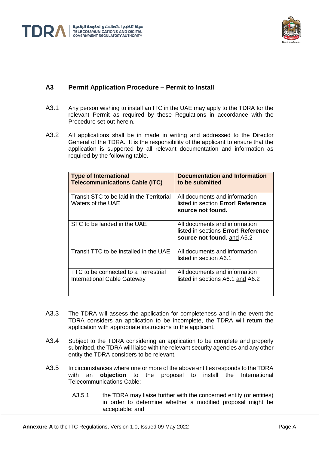

## **A3 Permit Application Procedure – Permit to Install**

- A3.1 Any person wishing to install an ITC in the UAE may apply to the TDRA for the relevant Permit as required by these Regulations in accordance with the Procedure set out herein.
- A3.2 All applications shall be in made in writing and addressed to the Director General of the TDRA. It is the responsibility of the applicant to ensure that the application is supported by all relevant documentation and information as required by the following table.

| <b>Type of International</b><br><b>Telecommunications Cable (ITC)</b> | <b>Documentation and Information</b><br>to be submitted                                            |
|-----------------------------------------------------------------------|----------------------------------------------------------------------------------------------------|
| Transit STC to be laid in the Territorial<br>Waters of the UAE        | All documents and information<br>listed in section Error! Reference<br>source not found.           |
| STC to be landed in the UAE                                           | All documents and information<br>listed in sections Error! Reference<br>source not found. and A5.2 |
| Transit TTC to be installed in the UAE                                | All documents and information<br>listed in section A6.1                                            |
| TTC to be connected to a Terrestrial<br>International Cable Gateway   | All documents and information<br>listed in sections A6.1 and A6.2                                  |

- A3.3 The TDRA will assess the application for completeness and in the event the TDRA considers an application to be incomplete, the TDRA will return the application with appropriate instructions to the applicant.
- A3.4 Subject to the TDRA considering an application to be complete and properly submitted, the TDRA will liaise with the relevant security agencies and any other entity the TDRA considers to be relevant.
- A3.5 In circumstances where one or more of the above entities responds to the TDRA with an **objection** to the proposal to install the International Telecommunications Cable:
	- A3.5.1 the TDRA may liaise further with the concerned entity (or entities) in order to determine whether a modified proposal might be acceptable; and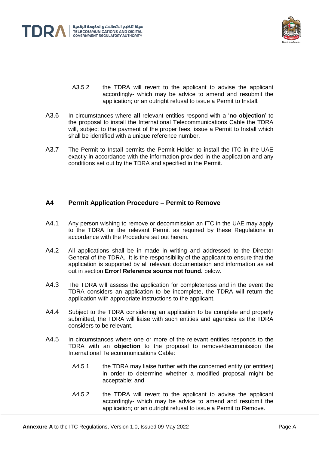



- A3.5.2 the TDRA will revert to the applicant to advise the applicant accordingly- which may be advice to amend and resubmit the application; or an outright refusal to issue a Permit to Install.
- A3.6 In circumstances where **all** relevant entities respond with a '**no objection**' to the proposal to install the International Telecommunications Cable the TDRA will, subject to the payment of the proper fees, issue a Permit to Install which shall be identified with a unique reference number.
- A3.7 The Permit to Install permits the Permit Holder to install the ITC in the UAE exactly in accordance with the information provided in the application and any conditions set out by the TDRA and specified in the Permit.

#### **A4 Permit Application Procedure – Permit to Remove**

- A4.1 Any person wishing to remove or decommission an ITC in the UAE may apply to the TDRA for the relevant Permit as required by these Regulations in accordance with the Procedure set out herein.
- A4.2 All applications shall be in made in writing and addressed to the Director General of the TDRA. It is the responsibility of the applicant to ensure that the application is supported by all relevant documentation and information as set out in section **Error! Reference source not found.** below.
- A4.3 The TDRA will assess the application for completeness and in the event the TDRA considers an application to be incomplete, the TDRA will return the application with appropriate instructions to the applicant.
- A4.4 Subject to the TDRA considering an application to be complete and properly submitted, the TDRA will liaise with such entities and agencies as the TDRA considers to be relevant.
- A4.5 In circumstances where one or more of the relevant entities responds to the TDRA with an **objection** to the proposal to remove/decommission the International Telecommunications Cable:
	- A4.5.1 the TDRA may liaise further with the concerned entity (or entities) in order to determine whether a modified proposal might be acceptable; and
	- A4.5.2 the TDRA will revert to the applicant to advise the applicant accordingly- which may be advice to amend and resubmit the application; or an outright refusal to issue a Permit to Remove.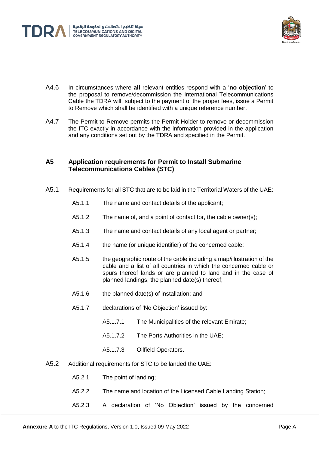



- A4.6 In circumstances where **all** relevant entities respond with a '**no objection**' to the proposal to remove/decommission the International Telecommunications Cable the TDRA will, subject to the payment of the proper fees, issue a Permit to Remove which shall be identified with a unique reference number.
- A4.7 The Permit to Remove permits the Permit Holder to remove or decommission the ITC exactly in accordance with the information provided in the application and any conditions set out by the TDRA and specified in the Permit.

#### **A5 Application requirements for Permit to Install Submarine Telecommunications Cables (STC)**

- A5.1 Requirements for all STC that are to be laid in the Territorial Waters of the UAE:
	- A5.1.1 The name and contact details of the applicant;
	- A5.1.2 The name of, and a point of contact for, the cable owner(s);
	- A5.1.3 The name and contact details of any local agent or partner;
	- A5.1.4 the name (or unique identifier) of the concerned cable;
	- A5.1.5 the geographic route of the cable including a map/illustration of the cable and a list of all countries in which the concerned cable or spurs thereof lands or are planned to land and in the case of planned landings, the planned date(s) thereof;
	- A5.1.6 the planned date(s) of installation; and
	- A5.1.7 declarations of 'No Objection' issued by:
		- A5.1.7.1 The Municipalities of the relevant Emirate;
		- A5.1.7.2 The Ports Authorities in the UAE;
		- A5.1.7.3 Oilfield Operators.
- <span id="page-5-0"></span>A5.2 Additional requirements for STC to be landed the UAE:
	- A5.2.1 The point of landing;
	- A5.2.2 The name and location of the Licensed Cable Landing Station;
	- A5.2.3 A declaration of 'No Objection' issued by the concerned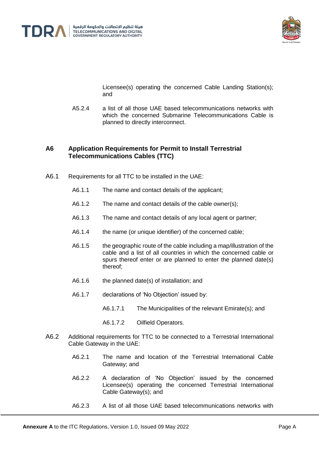



Licensee(s) operating the concerned Cable Landing Station(s); and

A5.2.4 a list of all those UAE based telecommunications networks with which the concerned Submarine Telecommunications Cable is planned to directly interconnect.

### **A6 Application Requirements for Permit to Install Terrestrial Telecommunications Cables (TTC)**

- <span id="page-6-0"></span>A6.1 Requirements for all TTC to be installed in the UAE:
	- A6.1.1 The name and contact details of the applicant;
	- A6.1.2 The name and contact details of the cable owner(s);
	- A6.1.3 The name and contact details of any local agent or partner;
	- A6.1.4 the name (or unique identifier) of the concerned cable;
	- A6.1.5 the geographic route of the cable including a map/illustration of the cable and a list of all countries in which the concerned cable or spurs thereof enter or are planned to enter the planned date(s) thereof;
	- A6.1.6 the planned date(s) of installation; and
	- A6.1.7 declarations of 'No Objection' issued by:
		- A6.1.7.1 The Municipalities of the relevant Emirate(s); and
		- A6.1.7.2 Oilfield Operators.
- <span id="page-6-1"></span>A6.2 Additional requirements for TTC to be connected to a Terrestrial International Cable Gateway in the UAE:
	- A6.2.1 The name and location of the Terrestrial International Cable Gateway; and
	- A6.2.2 A declaration of 'No Objection' issued by the concerned Licensee(s) operating the concerned Terrestrial International Cable Gateway(s); and
	- A6.2.3 A list of all those UAE based telecommunications networks with